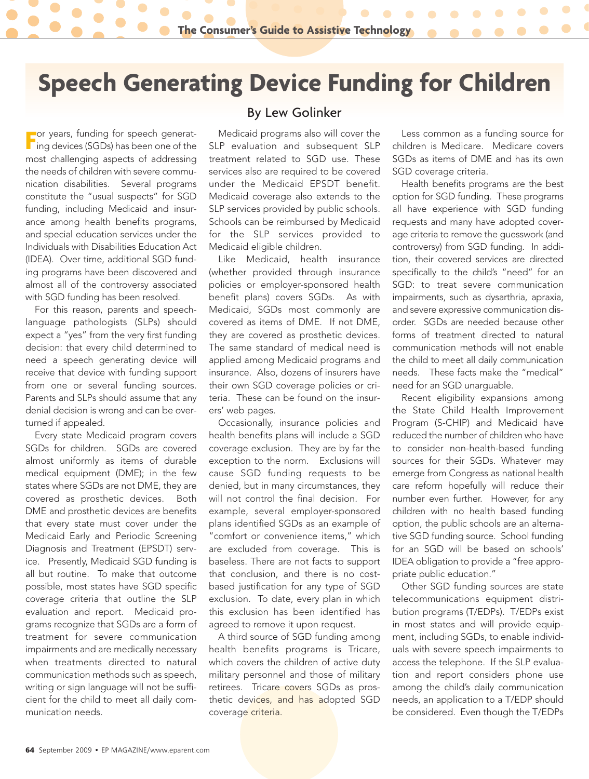## **Speech Generating Device Funding for Children**

**F** For years, funding for speech generating devices (SGDs) has been one of the or years, funding for speech generatmost challenging aspects of addressing the needs of children with severe communication disabilities. Several programs constitute the "usual suspects" for SGD funding, including Medicaid and insurance among health benefits programs, and special education services under the Individuals with Disabilities Education Act (IDEA). Over time, additional SGD funding programs have been discovered and almost all of the controversy associated with SGD funding has been resolved.

For this reason, parents and speechlanguage pathologists (SLPs) should expect a "yes" from the very first funding decision: that every child determined to need a speech generating device will receive that device with funding support from one or several funding sources. Parents and SLPs should assume that any denial decision is wrong and can be overturned if appealed.

Every state Medicaid program covers SGDs for children. SGDs are covered almost uniformly as items of durable medical equipment (DME); in the few states where SGDs are not DME, they are covered as prosthetic devices. Both DME and prosthetic devices are benefits that every state must cover under the Medicaid Early and Periodic Screening Diagnosis and Treatment (EPSDT) service. Presently, Medicaid SGD funding is all but routine. To make that outcome possible, most states have SGD specific coverage criteria that outline the SLP evaluation and report. Medicaid programs recognize that SGDs are a form of treatment for severe communication impairments and are medically necessary when treatments directed to natural communication methods such as speech, writing or sign language will not be sufficient for the child to meet all daily communication needs.

## By Lew Golinker

Medicaid programs also will cover the SLP evaluation and subsequent SLP treatment related to SGD use. These services also are required to be covered under the Medicaid EPSDT benefit. Medicaid coverage also extends to the SLP services provided by public schools. Schools can be reimbursed by Medicaid for the SLP services provided to Medicaid eligible children.

Like Medicaid, health insurance (whether provided through insurance policies or employer-sponsored health benefit plans) covers SGDs. As with Medicaid, SGDs most commonly are covered as items of DME. If not DME, they are covered as prosthetic devices. The same standard of medical need is applied among Medicaid programs and insurance. Also, dozens of insurers have their own SGD coverage policies or criteria. These can be found on the insurers' web pages.

Occasionally, insurance policies and health benefits plans will include a SGD coverage exclusion. They are by far the exception to the norm. Exclusions will cause SGD funding requests to be denied, but in many circumstances, they will not control the final decision. For example, several employer-sponsored plans identified SGDs as an example of "comfort or convenience items," which are excluded from coverage. This is baseless. There are not facts to support that conclusion, and there is no costbased justification for any type of SGD exclusion. To date, every plan in which this exclusion has been identified has agreed to remove it upon request.

A third source of SGD funding among health benefits programs is Tricare, which covers the children of active duty military personnel and those of military retirees. Tricare covers SGDs as prosthetic devices, and has adopted SGD coverage criteria.

Less common as a funding source for children is Medicare. Medicare covers SGDs as items of DME and has its own SGD coverage criteria.

Health benefits programs are the best option for SGD funding. These programs all have experience with SGD funding requests and many have adopted coverage criteria to remove the guesswork (and controversy) from SGD funding. In addition, their covered services are directed specifically to the child's "need" for an SGD: to treat severe communication impairments, such as dysarthria, apraxia, and severe expressive communication disorder. SGDs are needed because other forms of treatment directed to natural communication methods will not enable the child to meet all daily communication needs. These facts make the "medical" need for an SGD unarguable.

Recent eligibility expansions among the State Child Health Improvement Program (S-CHIP) and Medicaid have reduced the number of children who have to consider non-health-based funding sources for their SGDs. Whatever may emerge from Congress as national health care reform hopefully will reduce their number even further. However, for any children with no health based funding option, the public schools are an alternative SGD funding source. School funding for an SGD will be based on schools' IDEA obligation to provide a "free appropriate public education."

Other SGD funding sources are state telecommunications equipment distribution programs (T/EDPs). T/EDPs exist in most states and will provide equipment, including SGDs, to enable individuals with severe speech impairments to access the telephone. If the SLP evaluation and report considers phone use among the child's daily communication needs, an application to a T/EDP should be considered. Even though the T/EDPs